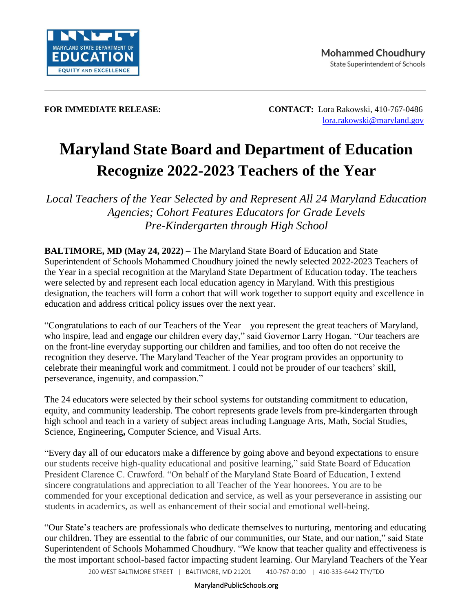

**FOR IMMEDIATE RELEASE: CONTACT:** Lora Rakowski, 410-767-0486 [lora.rakowski@maryland.gov](mailto:lora.rakowski@maryland.gov)

# **Maryland State Board and Department of Education Recognize 2022-2023 Teachers of the Year**

*Local Teachers of the Year Selected by and Represent All 24 Maryland Education Agencies; Cohort Features Educators for Grade Levels Pre-Kindergarten through High School*

**BALTIMORE, MD (May 24, 2022)** – The Maryland State Board of Education and State Superintendent of Schools Mohammed Choudhury joined the newly selected 2022-2023 Teachers of the Year in a special recognition at the Maryland State Department of Education today. The teachers were selected by and represent each local education agency in Maryland. With this prestigious designation, the teachers will form a cohort that will work together to support equity and excellence in education and address critical policy issues over the next year.

"Congratulations to each of our Teachers of the Year – you represent the great teachers of Maryland, who inspire, lead and engage our children every day," said Governor Larry Hogan. "Our teachers are on the front-line everyday supporting our children and families, and too often do not receive the recognition they deserve. The Maryland Teacher of the Year program provides an opportunity to celebrate their meaningful work and commitment. I could not be prouder of our teachers' skill, perseverance, ingenuity, and compassion."

The 24 educators were selected by their school systems for outstanding commitment to education, equity, and community leadership. The cohort represents grade levels from pre-kindergarten through high school and teach in a variety of subject areas including Language Arts, Math, Social Studies, Science, Engineering**,** Computer Science, and Visual Arts.

"Every day all of our educators make a difference by going above and beyond expectations to ensure our students receive high-quality educational and positive learning," said State Board of Education President Clarence C. Crawford. "On behalf of the Maryland State Board of Education, I extend sincere congratulations and appreciation to all Teacher of the Year honorees. You are to be commended for your exceptional dedication and service, as well as your perseverance in assisting our students in academics, as well as enhancement of their social and emotional well-being.

"Our State's teachers are professionals who dedicate themselves to nurturing, mentoring and educating our children. They are essential to the fabric of our communities, our State, and our nation," said State Superintendent of Schools Mohammed Choudhury. "We know that teacher quality and effectiveness is the most important school-based factor impacting student learning. Our Maryland Teachers of the Year

200 WEST BALTIMORE STREET | BALTIMORE, MD 21201 410-767-0100 | 410-333-6442 TTY/TDD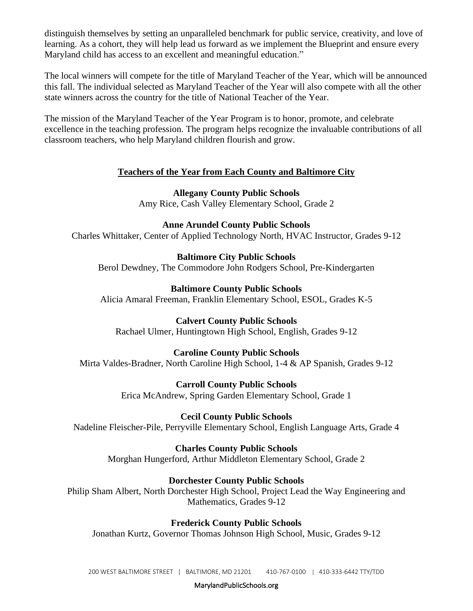distinguish themselves by setting an unparalleled benchmark for public service, creativity, and love of learning. As a cohort, they will help lead us forward as we implement the Blueprint and ensure every Maryland child has access to an excellent and meaningful education."

The local winners will compete for the title of Maryland Teacher of the Year, which will be announced this fall. The individual selected as Maryland Teacher of the Year will also compete with all the other state winners across the country for the title of National Teacher of the Year.

The mission of the Maryland Teacher of the Year Program is to honor, promote, and celebrate excellence in the teaching profession. The program helps recognize the invaluable contributions of all classroom teachers, who help Maryland children flourish and grow.

# **Teachers of the Year from Each County and Baltimore City**

**Allegany County Public Schools** Amy Rice, Cash Valley Elementary School, Grade 2

**Anne Arundel County Public Schools** Charles Whittaker, Center of Applied Technology North, HVAC Instructor, Grades 9-12

**Baltimore City Public Schools** Berol Dewdney, The Commodore John Rodgers School, Pre-Kindergarten

**Baltimore County Public Schools** Alicia Amaral Freeman, Franklin Elementary School, ESOL, Grades K-5

**Calvert County Public Schools** Rachael Ulmer, Huntingtown High School, English, Grades 9-12

**Caroline County Public Schools** Mirta Valdes-Bradner, North Caroline High School, 1-4 & AP Spanish, Grades 9-12

> **Carroll County Public Schools** Erica McAndrew, Spring Garden Elementary School, Grade 1

**Cecil County Public Schools** Nadeline Fleischer-Pile, Perryville Elementary School, English Language Arts, Grade 4

**Charles County Public Schools** Morghan Hungerford, Arthur Middleton Elementary School, Grade 2

**Dorchester County Public Schools**

Philip Sham Albert, North Dorchester High School, Project Lead the Way Engineering and Mathematics, Grades 9-12

**Frederick County Public Schools**

Jonathan Kurtz, Governor Thomas Johnson High School, Music, Grades 9-12

MarylandPublicSchools.org